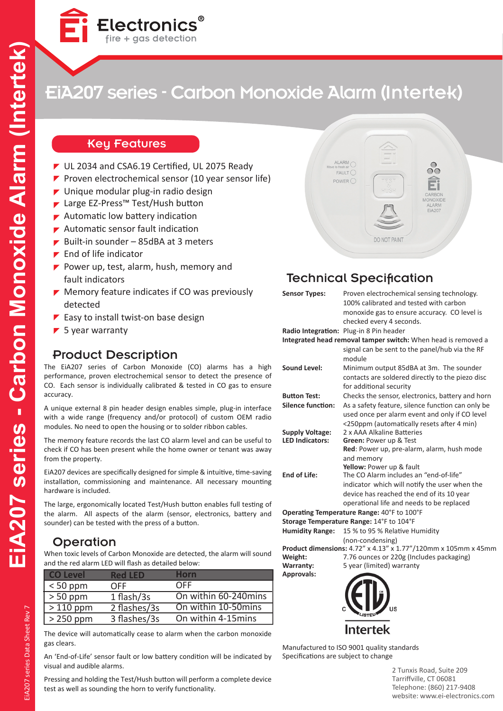

# EiA207 series - Carbon Monoxide Alarm (Intertek)

#### Key Features

- UL 2034 and CSA6.19 Certified, UL 2075 Ready
- Proven electrochemical sensor (10 year sensor life)
- $\blacktriangleright$  Unique modular plug-in radio design
- ► Large EZ-Press™ Test/Hush button
- $\blacktriangleright$  Automatic low battery indication
- Automatic sensor fault indication
- Built-in sounder 85dBA at 3 meters
- $\blacktriangleright$  End of life indicator
- Power up, test, alarm, hush, memory and fault indicators
- $\blacktriangleright$  Memory feature indicates if CO was previously detected
- $\blacktriangleright$  Easy to install twist-on base design
- $\blacktriangleright$  5 year warranty

#### Product Description

The EiA207 series of Carbon Monoxide (CO) alarms has a high performance, proven electrochemical sensor to detect the presence of CO. Each sensor is individually calibrated & tested in CO gas to ensure accuracy.

A unique external 8 pin header design enables simple, plug-in interface with a wide range (frequency and/or protocol) of custom OEM radio modules. No need to open the housing or to solder ribbon cables.

The memory feature records the last CO alarm level and can be useful to check if CO has been present while the home owner or tenant was away from the property.

EiA207 devices are specifically designed for simple & intuitive, time-saving installation, commissioning and maintenance. All necessary mounting hardware is included.

The large, ergonomically located Test/Hush button enables full testing of the alarm. All aspects of the alarm (sensor, electronics, battery and sounder) can be tested with the press of a button.

#### **Operation**

When toxic levels of Carbon Monoxide are detected, the alarm will sound and the red alarm LED will flash as detailed below:

| <b>CO Level</b> | <b>Red LFD</b> | Horn                 |
|-----------------|----------------|----------------------|
| $< 50$ ppm      | OFF            | <b>OFF</b>           |
| $> 50$ ppm      | 1 flash/3s     | On within 60-240mins |
| $>110$ ppm      | 2 flashes/3s   | On within 10-50mins  |
| $> 250$ ppm     | 3 flashes/3s   | On within 4-15mins   |

The device will automatically cease to alarm when the carbon monoxide gas clears.

An 'End-of-Life' sensor fault or low battery condition will be indicated by visual and audible alarms.

Pressing and holding the Test/Hush button will perform a complete device test as well as sounding the horn to verify functionality.



### Technical Specification

| <b>Sensor Types:</b>     | Proven electrochemical sensing technology.<br>100% calibrated and tested with carbon                               |
|--------------------------|--------------------------------------------------------------------------------------------------------------------|
|                          | monoxide gas to ensure accuracy. CO level is                                                                       |
|                          | checked every 4 seconds.                                                                                           |
|                          | Radio Integration: Plug-in 8 Pin header                                                                            |
|                          | Integrated head removal tamper switch: When head is removed a                                                      |
|                          | signal can be sent to the panel/hub via the RF<br>module                                                           |
| <b>Sound Level:</b>      | Minimum output 85dBA at 3m. The sounder                                                                            |
|                          | contacts are soldered directly to the piezo disc                                                                   |
|                          | for additional security                                                                                            |
| <b>Button Test:</b>      | Checks the sensor, electronics, battery and horn                                                                   |
| <b>Silence function:</b> | As a safety feature, silence function can only be                                                                  |
|                          | used once per alarm event and only if CO level                                                                     |
|                          | <250ppm (automatically resets after 4 min)                                                                         |
| <b>Supply Voltage:</b>   | 2 x AAA Alkaline Batteries                                                                                         |
| <b>LED Indicators:</b>   | <b>Green: Power up &amp; Test</b>                                                                                  |
|                          | Red: Power up, pre-alarm, alarm, hush mode                                                                         |
|                          | and memory                                                                                                         |
|                          | Yellow: Power up & fault                                                                                           |
| End of Life:             | The CO Alarm includes an "end-of-life"                                                                             |
|                          | indicator which will notify the user when the                                                                      |
|                          | device has reached the end of its 10 year                                                                          |
|                          | operational life and needs to be replaced                                                                          |
|                          | Operating Temperature Range: 40°F to 100°F                                                                         |
|                          | Storage Temperature Range: 14°F to 104°F                                                                           |
| <b>Humidity Range:</b>   | 15 % to 95 % Relative Humidity                                                                                     |
|                          | (non-condensing)                                                                                                   |
|                          | <b>Product dimensions:</b> $A 72$ <sup>"</sup> $\times$ $A 13$ " $\times$ 1.77"/120mm $\times$ 105mm $\times$ 45mm |

**Product dimensions:** 4.72" x 4.13" x 1.77"/120mm x 105mm x 45mm **Weight:** 7.76 ounces or 220g (Includes packaging) **Warranty:** 5 year (limited) warranty

**Approvals:**



Manufactured to ISO 9001 quality standards Specifications are subject to change

> 2 Tunxis Road, Suite 209 Tarriffville, CT 06081 Telephone: (860) 217-9408 website: www.ei-electronics.com